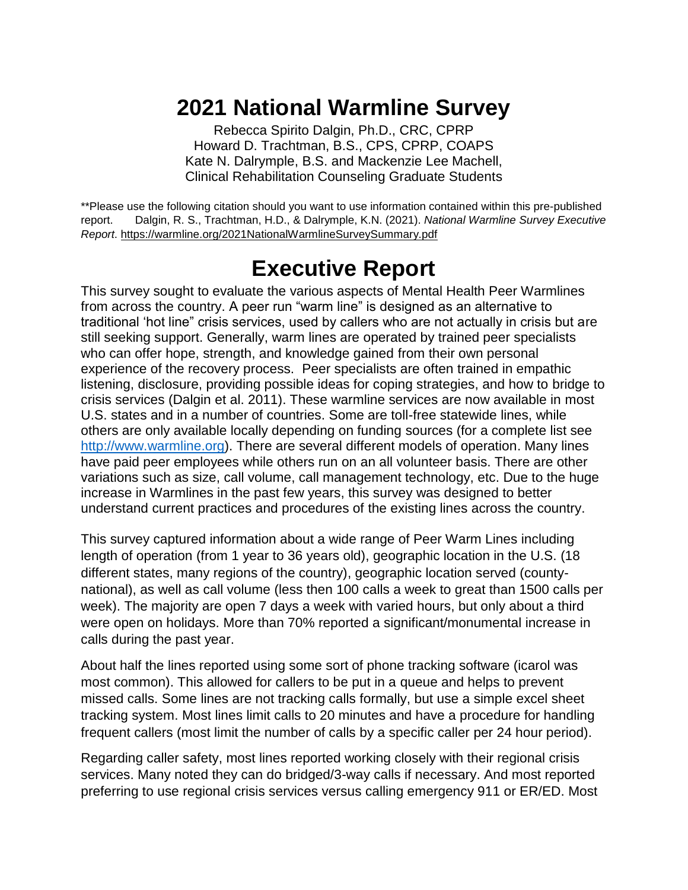# **2021 National Warmline Survey**

Rebecca Spirito Dalgin, Ph.D., CRC, CPRP Howard D. Trachtman, B.S., CPS, CPRP, COAPS Kate N. Dalrymple, B.S. and Mackenzie Lee Machell, Clinical Rehabilitation Counseling Graduate Students

\*\*Please use the following citation should you want to use information contained within this pre-published report. Dalgin, R. S., Trachtman, H.D., & Dalrymple, K.N. (2021). *National Warmline Survey Executive Report*. [https://warmline.org/2021NationalWarmlineSurveySummary.pdf](https://nam10.safelinks.protection.outlook.com/?url=https%3A%2F%2Fwarmline.org%2F2021NationalWarmlineSurveySummary.pdf&data=04%7C01%7Crebecca.dalgin%40scranton.edu%7C61c7b231b9ef4ebf752508d9aacc815a%7Ca8edc49a41f14c699768a7f6d7c3b8c3%7C0%7C0%7C637728618201183590%7CUnknown%7CTWFpbGZsb3d8eyJWIjoiMC4wLjAwMDAiLCJQIjoiV2luMzIiLCJBTiI6Ik1haWwiLCJXVCI6Mn0%3D%7C2000&sdata=%2Fr78LtbS%2FstC4lbCz6Vq0i5ewn9cJpw9TRlXi4n6MM8%3D&reserved=0)

# **Executive Report**

This survey sought to evaluate the various aspects of Mental Health Peer Warmlines from across the country. A peer run "warm line" is designed as an alternative to traditional 'hot line" crisis services, used by callers who are not actually in crisis but are still seeking support. Generally, warm lines are operated by trained peer specialists who can offer hope, strength, and knowledge gained from their own personal experience of the recovery process. Peer specialists are often trained in empathic listening, disclosure, providing possible ideas for coping strategies, and how to bridge to crisis services (Dalgin et al. 2011). These warmline services are now available in most U.S. states and in a number of countries. Some are toll-free statewide lines, while others are only available locally depending on funding sources (for a complete list see [http://www.warmline.org\)](http://www.warmline.org/). There are several different models of operation. Many lines have paid peer employees while others run on an all volunteer basis. There are other variations such as size, call volume, call management technology, etc. Due to the huge increase in Warmlines in the past few years, this survey was designed to better understand current practices and procedures of the existing lines across the country.

This survey captured information about a wide range of Peer Warm Lines including length of operation (from 1 year to 36 years old), geographic location in the U.S. (18 different states, many regions of the country), geographic location served (countynational), as well as call volume (less then 100 calls a week to great than 1500 calls per week). The majority are open 7 days a week with varied hours, but only about a third were open on holidays. More than 70% reported a significant/monumental increase in calls during the past year.

About half the lines reported using some sort of phone tracking software (icarol was most common). This allowed for callers to be put in a queue and helps to prevent missed calls. Some lines are not tracking calls formally, but use a simple excel sheet tracking system. Most lines limit calls to 20 minutes and have a procedure for handling frequent callers (most limit the number of calls by a specific caller per 24 hour period).

Regarding caller safety, most lines reported working closely with their regional crisis services. Many noted they can do bridged/3-way calls if necessary. And most reported preferring to use regional crisis services versus calling emergency 911 or ER/ED. Most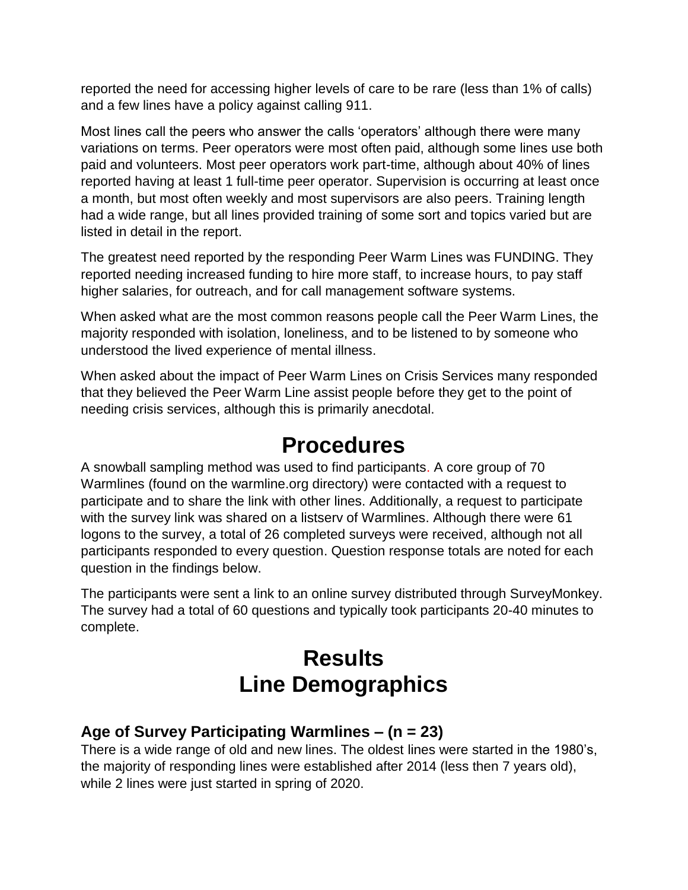reported the need for accessing higher levels of care to be rare (less than 1% of calls) and a few lines have a policy against calling 911.

Most lines call the peers who answer the calls 'operators' although there were many variations on terms. Peer operators were most often paid, although some lines use both paid and volunteers. Most peer operators work part-time, although about 40% of lines reported having at least 1 full-time peer operator. Supervision is occurring at least once a month, but most often weekly and most supervisors are also peers. Training length had a wide range, but all lines provided training of some sort and topics varied but are listed in detail in the report.

The greatest need reported by the responding Peer Warm Lines was FUNDING. They reported needing increased funding to hire more staff, to increase hours, to pay staff higher salaries, for outreach, and for call management software systems.

When asked what are the most common reasons people call the Peer Warm Lines, the majority responded with isolation, loneliness, and to be listened to by someone who understood the lived experience of mental illness.

When asked about the impact of Peer Warm Lines on Crisis Services many responded that they believed the Peer Warm Line assist people before they get to the point of needing crisis services, although this is primarily anecdotal.

# **Procedures**

A snowball sampling method was used to find participants. A core group of 70 Warmlines (found on the warmline.org directory) were contacted with a request to participate and to share the link with other lines. Additionally, a request to participate with the survey link was shared on a listserv of Warmlines. Although there were 61 logons to the survey, a total of 26 completed surveys were received, although not all participants responded to every question. Question response totals are noted for each question in the findings below.

The participants were sent a link to an online survey distributed through SurveyMonkey. The survey had a total of 60 questions and typically took participants 20-40 minutes to complete.

# **Results Line Demographics**

# **Age of Survey Participating Warmlines – (n = 23)**

There is a wide range of old and new lines. The oldest lines were started in the 1980's, the majority of responding lines were established after 2014 (less then 7 years old), while 2 lines were just started in spring of 2020.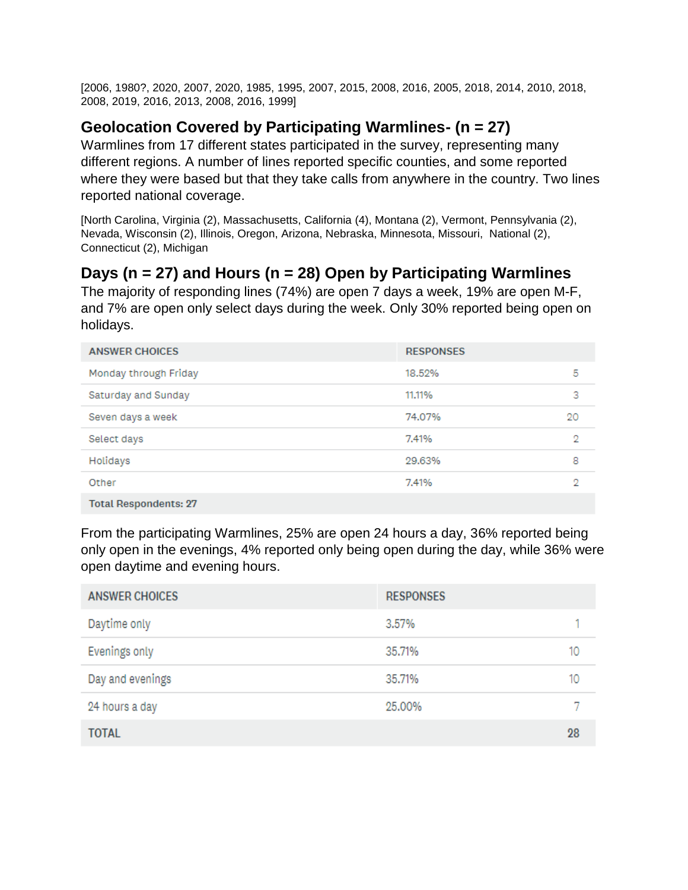[2006, 1980?, 2020, 2007, 2020, 1985, 1995, 2007, 2015, 2008, 2016, 2005, 2018, 2014, 2010, 2018, 2008, 2019, 2016, 2013, 2008, 2016, 1999]

# **Geolocation Covered by Participating Warmlines- (n = 27)**

Warmlines from 17 different states participated in the survey, representing many different regions. A number of lines reported specific counties, and some reported where they were based but that they take calls from anywhere in the country. Two lines reported national coverage.

[North Carolina, Virginia (2), Massachusetts, California (4), Montana (2), Vermont, Pennsylvania (2), Nevada, Wisconsin (2), Illinois, Oregon, Arizona, Nebraska, Minnesota, Missouri, National (2), Connecticut (2), Michigan

# **Days (n = 27) and Hours (n = 28) Open by Participating Warmlines**

The majority of responding lines (74%) are open 7 days a week, 19% are open M-F, and 7% are open only select days during the week. Only 30% reported being open on holidays.

| <b>ANSWER CHOICES</b>        | <b>RESPONSES</b> |    |
|------------------------------|------------------|----|
| Monday through Friday        | 18.52%           | 5  |
| Saturday and Sunday          | 11.11%           | з  |
| Seven days a week            | 74.07%           | 20 |
| Select days                  | 7.41%            | 2  |
| Holidays                     | 29.63%           | 8  |
| Other                        | 7.41%            | 2  |
| <b>Total Respondents: 27</b> |                  |    |

From the participating Warmlines, 25% are open 24 hours a day, 36% reported being only open in the evenings, 4% reported only being open during the day, while 36% were open daytime and evening hours.

| <b>ANSWER CHOICES</b> | <b>RESPONSES</b> |    |
|-----------------------|------------------|----|
| Daytime only          | 3.57%            |    |
| Evenings only         | 35.71%           | 10 |
| Day and evenings      | 35.71%           | 10 |
| 24 hours a day        | 25.00%           |    |
| <b>TOTAL</b>          |                  | 28 |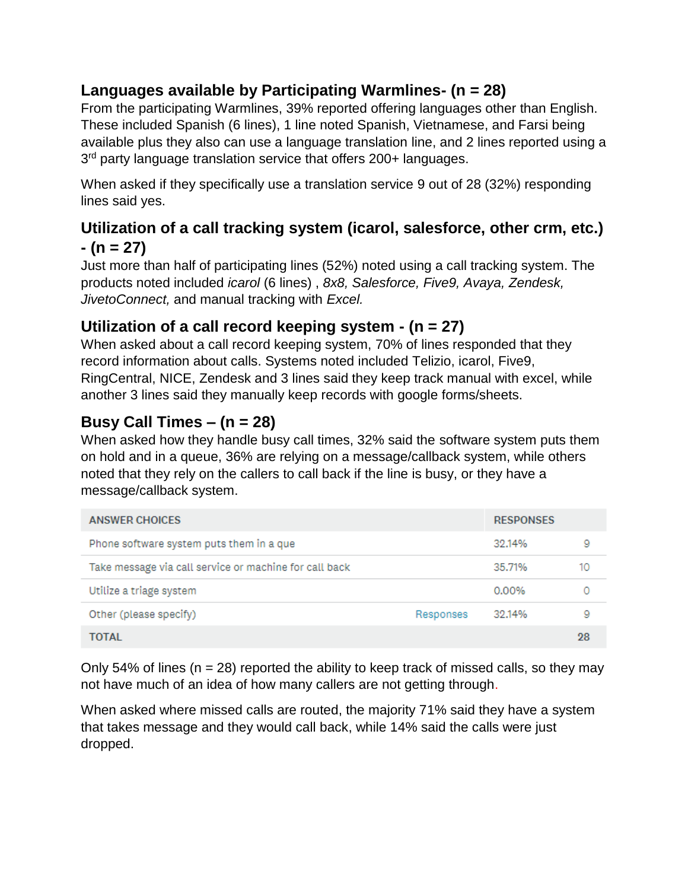# **Languages available by Participating Warmlines- (n = 28)**

From the participating Warmlines, 39% reported offering languages other than English. These included Spanish (6 lines), 1 line noted Spanish, Vietnamese, and Farsi being available plus they also can use a language translation line, and 2 lines reported using a 3<sup>rd</sup> party language translation service that offers 200+ languages.

When asked if they specifically use a translation service 9 out of 28 (32%) responding lines said yes.

# **Utilization of a call tracking system (icarol, salesforce, other crm, etc.) - (n = 27)**

Just more than half of participating lines (52%) noted using a call tracking system. The products noted included *icarol* (6 lines) , *8x8, Salesforce, Five9, Avaya, Zendesk, JivetoConnect,* and manual tracking with *Excel.*

# **Utilization of a call record keeping system - (n = 27)**

When asked about a call record keeping system, 70% of lines responded that they record information about calls. Systems noted included Telizio, icarol, Five9, RingCentral, NICE, Zendesk and 3 lines said they keep track manual with excel, while another 3 lines said they manually keep records with google forms/sheets.

# **Busy Call Times – (n = 28)**

When asked how they handle busy call times, 32% said the software system puts them on hold and in a queue, 36% are relying on a message/callback system, while others noted that they rely on the callers to call back if the line is busy, or they have a message/callback system.

| <b>ANSWER CHOICES</b>                                  |           | <b>RESPONSES</b> |    |
|--------------------------------------------------------|-----------|------------------|----|
| Phone software system puts them in a que               |           | 32.14%           | 9  |
| Take message via call service or machine for call back |           | 35.71%           | 10 |
| Utilize a triage system                                |           | 0.00%            |    |
| Other (please specify)                                 | Responses | 32.14%           | 9  |
| TOTAL                                                  |           |                  | 28 |

Only 54% of lines ( $n = 28$ ) reported the ability to keep track of missed calls, so they may not have much of an idea of how many callers are not getting through.

When asked where missed calls are routed, the majority 71% said they have a system that takes message and they would call back, while 14% said the calls were just dropped.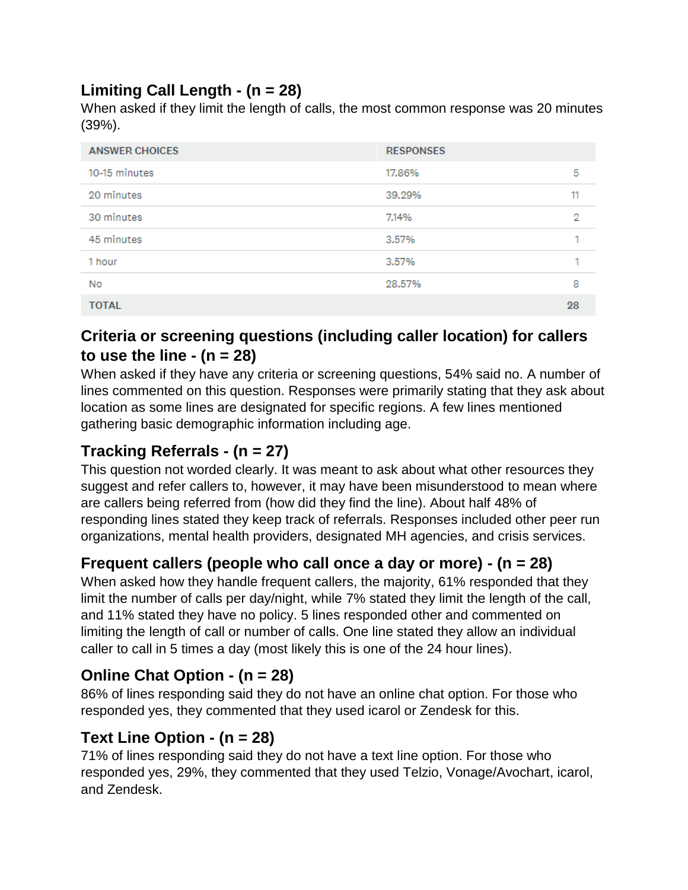# **Limiting Call Length - (n = 28)**

When asked if they limit the length of calls, the most common response was 20 minutes (39%).

| <b>ANSWER CHOICES</b> | <b>RESPONSES</b> |    |
|-----------------------|------------------|----|
| 10-15 minutes         | 17.86%           | 5  |
| 20 minutes            | 39.29%           | 11 |
| 30 minutes            | 7.14%            | 2  |
| 45 minutes            | 3.57%            | ٠  |
| 1 hour                | 3.57%            |    |
| No                    | 28.57%           | 8  |
| <b>TOTAL</b>          |                  | 28 |

# **Criteria or screening questions (including caller location) for callers to use the line - (n = 28)**

When asked if they have any criteria or screening questions, 54% said no. A number of lines commented on this question. Responses were primarily stating that they ask about location as some lines are designated for specific regions. A few lines mentioned gathering basic demographic information including age.

# **Tracking Referrals - (n = 27)**

This question not worded clearly. It was meant to ask about what other resources they suggest and refer callers to, however, it may have been misunderstood to mean where are callers being referred from (how did they find the line). About half 48% of responding lines stated they keep track of referrals. Responses included other peer run organizations, mental health providers, designated MH agencies, and crisis services.

# **Frequent callers (people who call once a day or more) - (n = 28)**

When asked how they handle frequent callers, the majority, 61% responded that they limit the number of calls per day/night, while 7% stated they limit the length of the call, and 11% stated they have no policy. 5 lines responded other and commented on limiting the length of call or number of calls. One line stated they allow an individual caller to call in 5 times a day (most likely this is one of the 24 hour lines).

# **Online Chat Option - (n = 28)**

86% of lines responding said they do not have an online chat option. For those who responded yes, they commented that they used icarol or Zendesk for this.

# **Text Line Option - (n = 28)**

71% of lines responding said they do not have a text line option. For those who responded yes, 29%, they commented that they used Telzio, Vonage/Avochart, icarol, and Zendesk.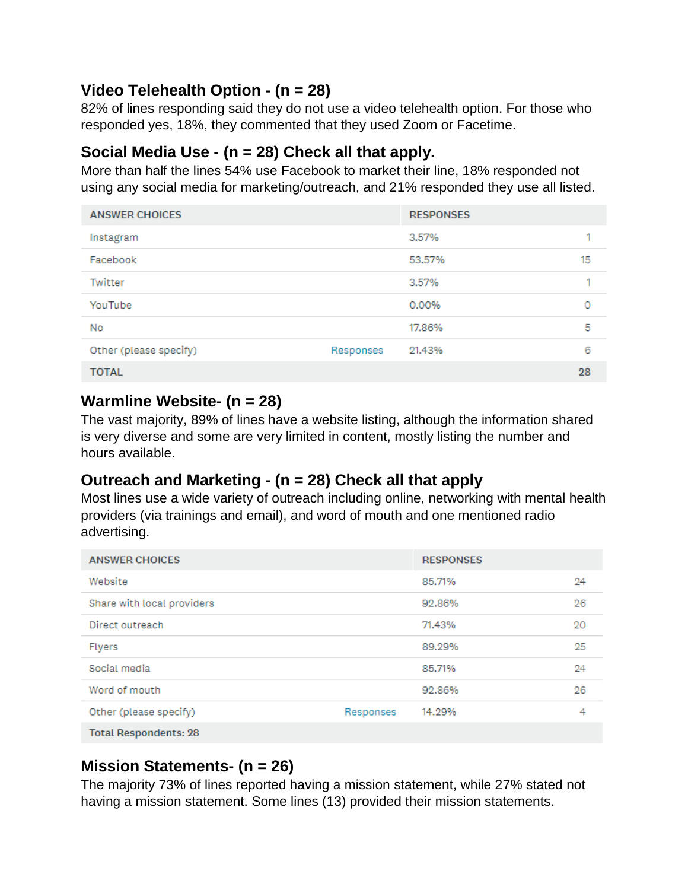# **Video Telehealth Option - (n = 28)**

82% of lines responding said they do not use a video telehealth option. For those who responded yes, 18%, they commented that they used Zoom or Facetime.

### **Social Media Use - (n = 28) Check all that apply.**

More than half the lines 54% use Facebook to market their line, 18% responded not using any social media for marketing/outreach, and 21% responded they use all listed.

| <b>ANSWER CHOICES</b>  |           | <b>RESPONSES</b> |    |
|------------------------|-----------|------------------|----|
| Instagram              |           | 3.57%            | ٠  |
| Facebook               |           | 53.57%           | 15 |
| Twitter                |           | 3.57%            | ۰  |
| YouTube                |           | 0.00%            | 0  |
| No                     |           | 17.86%           | 5  |
| Other (please specify) | Responses | 21.43%           | 6  |
| <b>TOTAL</b>           |           |                  | 28 |

#### **Warmline Website- (n = 28)**

The vast majority, 89% of lines have a website listing, although the information shared is very diverse and some are very limited in content, mostly listing the number and hours available.

# **Outreach and Marketing - (n = 28) Check all that apply**

Most lines use a wide variety of outreach including online, networking with mental health providers (via trainings and email), and word of mouth and one mentioned radio advertising.

| <b>ANSWER CHOICES</b>        |           | <b>RESPONSES</b> |    |
|------------------------------|-----------|------------------|----|
| Website                      |           | 85,71%           | 24 |
| Share with local providers   |           | 92.86%           | 26 |
| Direct outreach              |           | 71.43%           | 20 |
| <b>Flyers</b>                |           | 89.29%           | 25 |
| Social media                 |           | 85.71%           | 24 |
| Word of mouth                |           | 92.86%           | 26 |
| Other (please specify)       | Responses | 14.29%           | 4  |
| <b>Total Respondents: 28</b> |           |                  |    |
|                              |           |                  |    |

# **Mission Statements- (n = 26)**

The majority 73% of lines reported having a mission statement, while 27% stated not having a mission statement. Some lines (13) provided their mission statements.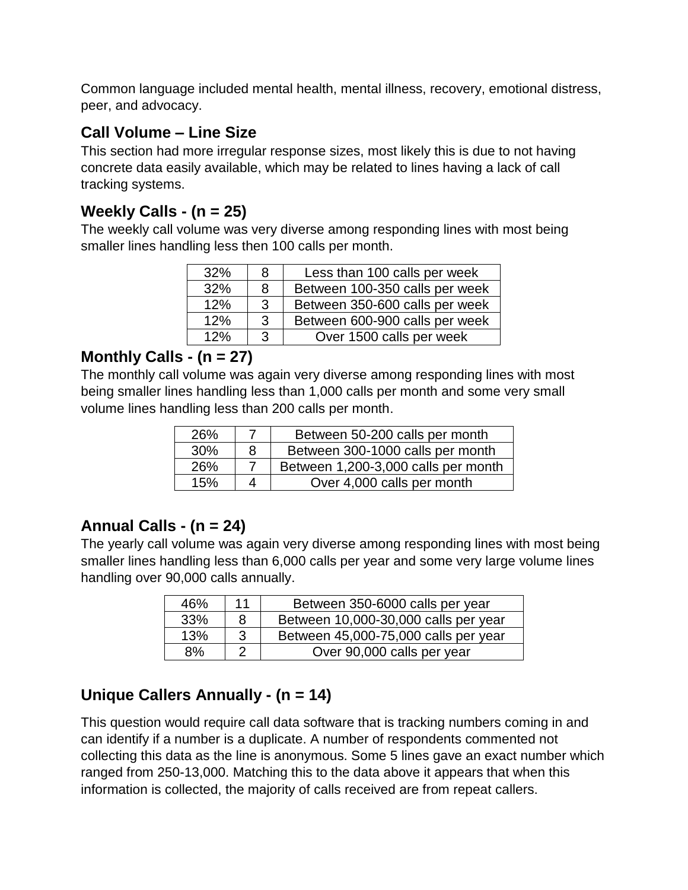Common language included mental health, mental illness, recovery, emotional distress, peer, and advocacy.

## **Call Volume – Line Size**

This section had more irregular response sizes, most likely this is due to not having concrete data easily available, which may be related to lines having a lack of call tracking systems.

## **Weekly Calls - (n = 25)**

The weekly call volume was very diverse among responding lines with most being smaller lines handling less then 100 calls per month.

| 32% | 8             | Less than 100 calls per week   |
|-----|---------------|--------------------------------|
| 32% | 8             | Between 100-350 calls per week |
| 12% | $\mathcal{B}$ | Between 350-600 calls per week |
| 12% | $\mathcal{R}$ | Between 600-900 calls per week |
| 12% | 3             | Over 1500 calls per week       |

### **Monthly Calls - (n = 27)**

The monthly call volume was again very diverse among responding lines with most being smaller lines handling less than 1,000 calls per month and some very small volume lines handling less than 200 calls per month.

| 26% |   | Between 50-200 calls per month      |
|-----|---|-------------------------------------|
| 30% | 8 | Between 300-1000 calls per month    |
| 26% |   | Between 1,200-3,000 calls per month |
| 15% |   | Over 4,000 calls per month          |

# **Annual Calls - (n = 24)**

The yearly call volume was again very diverse among responding lines with most being smaller lines handling less than 6,000 calls per year and some very large volume lines handling over 90,000 calls annually.

| 46% | 11 | Between 350-6000 calls per year      |
|-----|----|--------------------------------------|
| 33% | 8  | Between 10,000-30,000 calls per year |
| 13% | 3  | Between 45,000-75,000 calls per year |
| 8%  | റ  | Over 90,000 calls per year           |

# **Unique Callers Annually - (n = 14)**

This question would require call data software that is tracking numbers coming in and can identify if a number is a duplicate. A number of respondents commented not collecting this data as the line is anonymous. Some 5 lines gave an exact number which ranged from 250-13,000. Matching this to the data above it appears that when this information is collected, the majority of calls received are from repeat callers.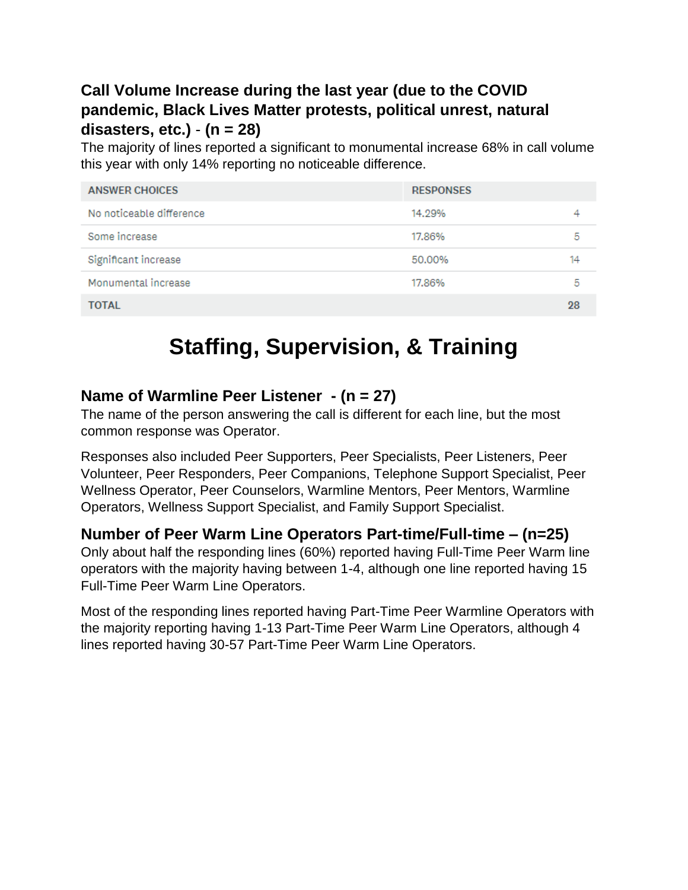# **Call Volume Increase during the last year (due to the COVID pandemic, Black Lives Matter protests, political unrest, natural disasters, etc.)** - **(n = 28)**

The majority of lines reported a significant to monumental increase 68% in call volume this year with only 14% reporting no noticeable difference.

| <b>ANSWER CHOICES</b>    | <b>RESPONSES</b> |    |
|--------------------------|------------------|----|
| No noticeable difference | 14.29%           |    |
| Some increase            | 17.86%           | 5  |
| Significant increase     | 50.00%           | 14 |
| Monumental increase      | 17.86%           | 5  |
| <b>TOTAL</b>             |                  | 28 |

# **Staffing, Supervision, & Training**

#### **Name of Warmline Peer Listener - (n = 27)**

The name of the person answering the call is different for each line, but the most common response was Operator.

Responses also included Peer Supporters, Peer Specialists, Peer Listeners, Peer Volunteer, Peer Responders, Peer Companions, Telephone Support Specialist, Peer Wellness Operator, Peer Counselors, Warmline Mentors, Peer Mentors, Warmline Operators, Wellness Support Specialist, and Family Support Specialist.

#### **Number of Peer Warm Line Operators Part-time/Full-time – (n=25)**

Only about half the responding lines (60%) reported having Full-Time Peer Warm line operators with the majority having between 1-4, although one line reported having 15 Full-Time Peer Warm Line Operators.

Most of the responding lines reported having Part-Time Peer Warmline Operators with the majority reporting having 1-13 Part-Time Peer Warm Line Operators, although 4 lines reported having 30-57 Part-Time Peer Warm Line Operators.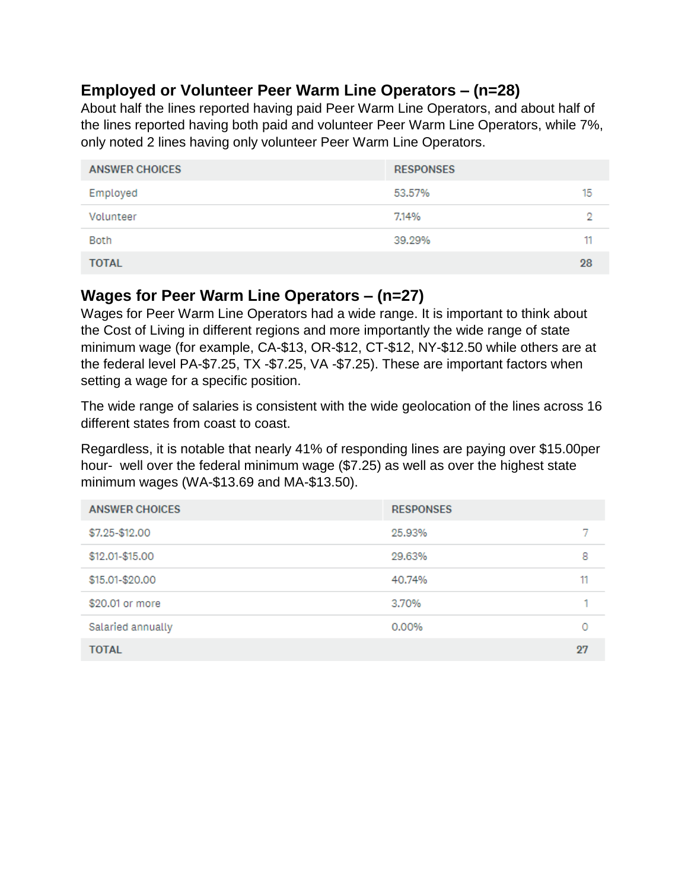### **Employed or Volunteer Peer Warm Line Operators – (n=28)**

About half the lines reported having paid Peer Warm Line Operators, and about half of the lines reported having both paid and volunteer Peer Warm Line Operators, while 7%, only noted 2 lines having only volunteer Peer Warm Line Operators.

| <b>ANSWER CHOICES</b> | <b>RESPONSES</b> |    |
|-----------------------|------------------|----|
| Employed              | 53.57%           | 15 |
| Volunteer             | 7.14%            | ο  |
| Both                  | 39.29%           | 11 |
| <b>TOTAL</b>          |                  | 28 |

#### **Wages for Peer Warm Line Operators – (n=27)**

Wages for Peer Warm Line Operators had a wide range. It is important to think about the Cost of Living in different regions and more importantly the wide range of state minimum wage (for example, CA-\$13, OR-\$12, CT-\$12, NY-\$12.50 while others are at the federal level PA-\$7.25, TX -\$7.25, VA -\$7.25). These are important factors when setting a wage for a specific position.

The wide range of salaries is consistent with the wide geolocation of the lines across 16 different states from coast to coast.

Regardless, it is notable that nearly 41% of responding lines are paying over \$15.00per hour- well over the federal minimum wage (\$7.25) as well as over the highest state minimum wages (WA-\$13.69 and MA-\$13.50).

| <b>ANSWER CHOICES</b> | <b>RESPONSES</b> |    |
|-----------------------|------------------|----|
| \$7.25-\$12.00        | 25.93%           |    |
| \$12.01-\$15.00       | 29.63%           | 8  |
| \$15.01-\$20.00       | 40.74%           | 11 |
| \$20.01 or more       | 3.70%            | 1  |
| Salaried annually     | 0.00%            | 0  |
| <b>TOTAL</b>          |                  | 27 |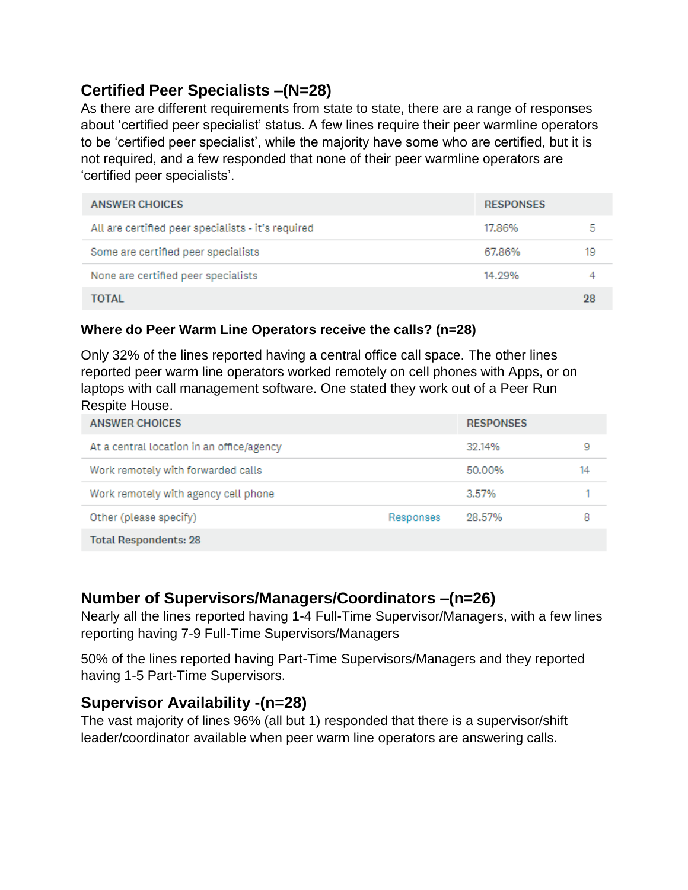# **Certified Peer Specialists –(N=28)**

As there are different requirements from state to state, there are a range of responses about 'certified peer specialist' status. A few lines require their peer warmline operators to be 'certified peer specialist', while the majority have some who are certified, but it is not required, and a few responded that none of their peer warmline operators are 'certified peer specialists'.

| <b>ANSWER CHOICES</b>                              | <b>RESPONSES</b> |    |
|----------------------------------------------------|------------------|----|
| All are certified peer specialists - it's required | 17.86%           | 5  |
| Some are certified peer specialists                | 67.86%           | 19 |
| None are certified peer specialists                | 14.29%           |    |
| TOTAL                                              |                  | 98 |

#### **Where do Peer Warm Line Operators receive the calls? (n=28)**

Only 32% of the lines reported having a central office call space. The other lines reported peer warm line operators worked remotely on cell phones with Apps, or on laptops with call management software. One stated they work out of a Peer Run Respite House.

| <b>ANSWER CHOICES</b>                     |           | <b>RESPONSES</b> |    |
|-------------------------------------------|-----------|------------------|----|
| At a central location in an office/agency |           | 32.14%           | 9  |
| Work remotely with forwarded calls        |           | 50.00%           | 14 |
| Work remotely with agency cell phone      |           | 3.57%            |    |
| Other (please specify)                    | Responses | 28.57%           | 8  |
| <b>Total Respondents: 28</b>              |           |                  |    |

#### **Number of Supervisors/Managers/Coordinators –(n=26)**

Nearly all the lines reported having 1-4 Full-Time Supervisor/Managers, with a few lines reporting having 7-9 Full-Time Supervisors/Managers

50% of the lines reported having Part-Time Supervisors/Managers and they reported having 1-5 Part-Time Supervisors.

#### **Supervisor Availability -(n=28)**

The vast majority of lines 96% (all but 1) responded that there is a supervisor/shift leader/coordinator available when peer warm line operators are answering calls.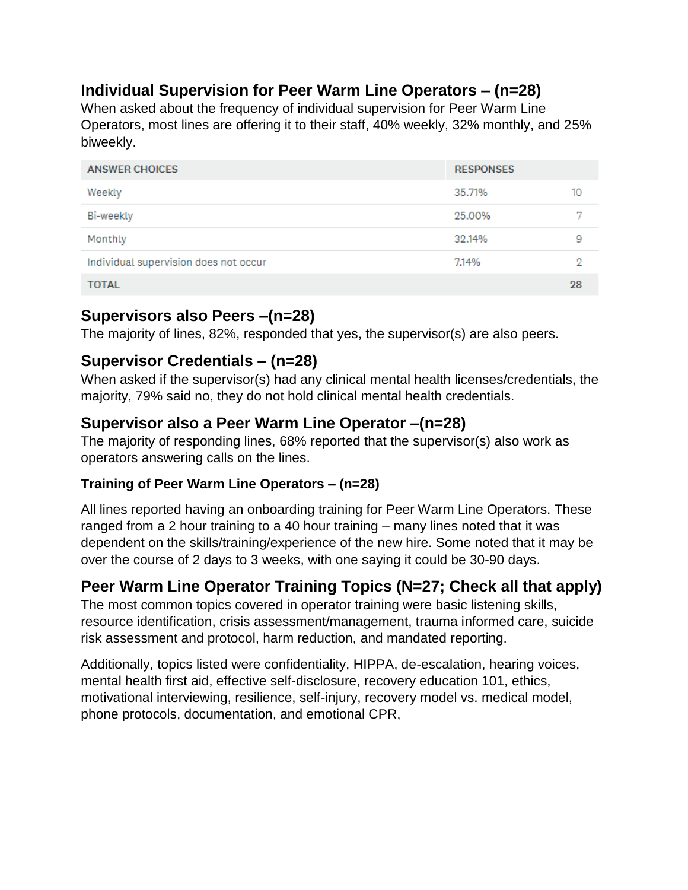# **Individual Supervision for Peer Warm Line Operators – (n=28)**

When asked about the frequency of individual supervision for Peer Warm Line Operators, most lines are offering it to their staff, 40% weekly, 32% monthly, and 25% biweekly.

| <b>ANSWER CHOICES</b>                 | <b>RESPONSES</b> |    |
|---------------------------------------|------------------|----|
| Weekly                                | 35.71%           | 10 |
| Bi-weekly                             | 25,00%           |    |
| Monthly                               | 32.14%           | 9  |
| Individual supervision does not occur | 7.14%            | 9  |
| <b>TOTAL</b>                          |                  | 28 |

# **Supervisors also Peers –(n=28)**

The majority of lines, 82%, responded that yes, the supervisor(s) are also peers.

# **Supervisor Credentials – (n=28)**

When asked if the supervisor(s) had any clinical mental health licenses/credentials, the majority, 79% said no, they do not hold clinical mental health credentials.

# **Supervisor also a Peer Warm Line Operator –(n=28)**

The majority of responding lines, 68% reported that the supervisor(s) also work as operators answering calls on the lines.

#### **Training of Peer Warm Line Operators – (n=28)**

All lines reported having an onboarding training for Peer Warm Line Operators. These ranged from a 2 hour training to a 40 hour training – many lines noted that it was dependent on the skills/training/experience of the new hire. Some noted that it may be over the course of 2 days to 3 weeks, with one saying it could be 30-90 days.

# **Peer Warm Line Operator Training Topics (N=27; Check all that apply)**

The most common topics covered in operator training were basic listening skills, resource identification, crisis assessment/management, trauma informed care, suicide risk assessment and protocol, harm reduction, and mandated reporting.

Additionally, topics listed were confidentiality, HIPPA, de-escalation, hearing voices, mental health first aid, effective self-disclosure, recovery education 101, ethics, motivational interviewing, resilience, self-injury, recovery model vs. medical model, phone protocols, documentation, and emotional CPR,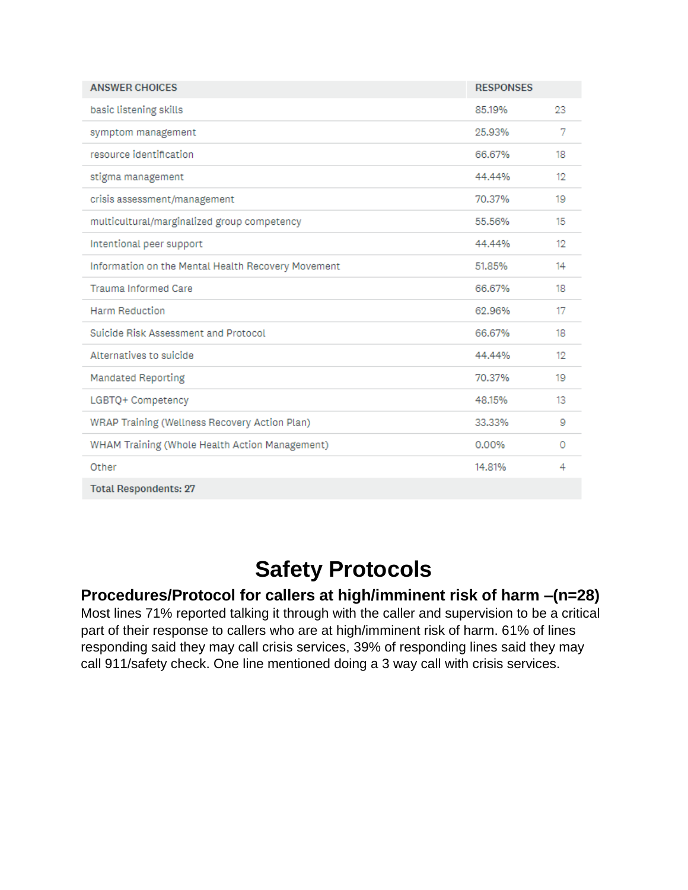| <b>ANSWER CHOICES</b>                              | <b>RESPONSES</b> |    |
|----------------------------------------------------|------------------|----|
| basic listening skills                             | 85.19%           | 23 |
| symptom management                                 | 25.93%           | 7  |
| resource identification                            | 66,67%           | 18 |
| stigma management                                  | 44.44%           | 12 |
| crisis assessment/management                       | 70.37%           | 19 |
| multicultural/marginalized group competency        | 55.56%           | 15 |
| Intentional peer support                           | 44.44%           | 12 |
| Information on the Mental Health Recovery Movement | 51.85%           | 14 |
| <b>Trauma Informed Care</b>                        | 66.67%           | 18 |
| <b>Harm Reduction</b>                              | 62.96%           | 17 |
| Suicide Risk Assessment and Protocol               | 66,67%           | 18 |
| Alternatives to suicide                            | 44.44%           | 12 |
| <b>Mandated Reporting</b>                          | 70.37%           | 19 |
| LGBTQ+ Competency                                  | 48.15%           | 13 |
| WRAP Training (Wellness Recovery Action Plan)      | 33.33%           | 9  |
| WHAM Training (Whole Health Action Management)     | 0.00%            | 0  |
| Other                                              | 14.81%           | 4  |
| <b>Total Respondents: 27</b>                       |                  |    |

# **Safety Protocols**

#### **Procedures/Protocol for callers at high/imminent risk of harm –(n=28)**

Most lines 71% reported talking it through with the caller and supervision to be a critical part of their response to callers who are at high/imminent risk of harm. 61% of lines responding said they may call crisis services, 39% of responding lines said they may call 911/safety check. One line mentioned doing a 3 way call with crisis services.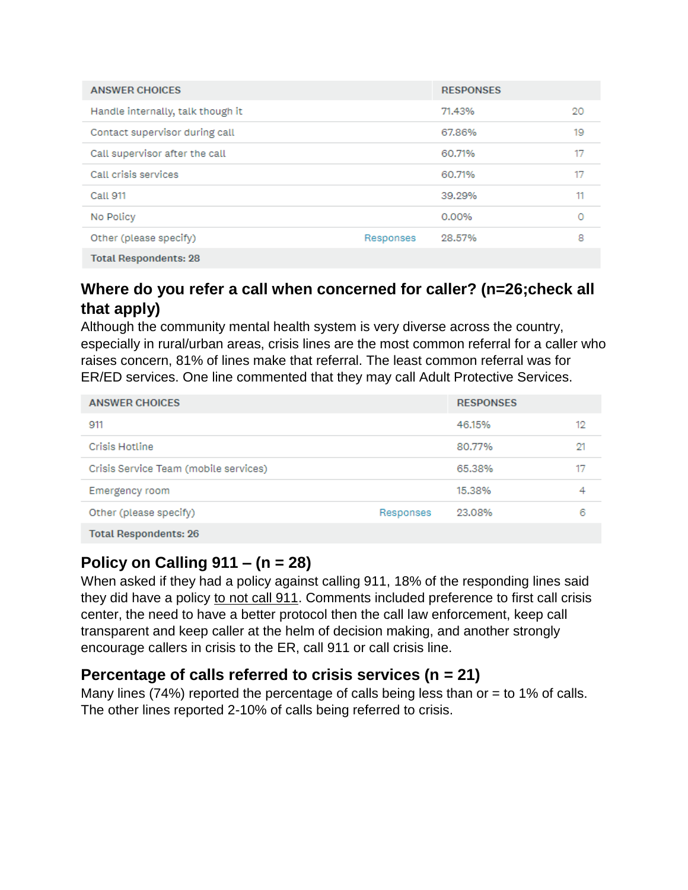| <b>ANSWER CHOICES</b>             |           | <b>RESPONSES</b> |    |
|-----------------------------------|-----------|------------------|----|
| Handle internally, talk though it |           | 71.43%           | 20 |
| Contact supervisor during call    |           | 67.86%           | 19 |
| Call supervisor after the call    |           | 60.71%           | 17 |
| Call crisis services              |           | 60.71%           | 17 |
| Call 911                          |           | 39.29%           | 11 |
| No Policy                         |           | 0.00%            | 0  |
| Other (please specify)            | Responses | 28.57%           | 8  |
| <b>Total Respondents: 28</b>      |           |                  |    |

# **Where do you refer a call when concerned for caller? (n=26;check all that apply)**

Although the community mental health system is very diverse across the country, especially in rural/urban areas, crisis lines are the most common referral for a caller who raises concern, 81% of lines make that referral. The least common referral was for ER/ED services. One line commented that they may call Adult Protective Services.

| <b>ANSWER CHOICES</b>                 |           | <b>RESPONSES</b> |    |
|---------------------------------------|-----------|------------------|----|
| 911                                   |           | 46.15%           | 12 |
| Crisis Hotline                        |           | 80.77%           | 21 |
| Crisis Service Team (mobile services) |           | 65.38%           |    |
| Emergency room                        |           | 15.38%           | 4  |
| Other (please specify)                | Responses | 23.08%           | 6  |
| <b>Total Respondents: 26</b>          |           |                  |    |

# **Policy on Calling 911 – (n = 28)**

When asked if they had a policy against calling 911, 18% of the responding lines said they did have a policy to not call 911. Comments included preference to first call crisis center, the need to have a better protocol then the call law enforcement, keep call transparent and keep caller at the helm of decision making, and another strongly encourage callers in crisis to the ER, call 911 or call crisis line.

# **Percentage of calls referred to crisis services (n = 21)**

Many lines (74%) reported the percentage of calls being less than or  $=$  to 1% of calls. The other lines reported 2-10% of calls being referred to crisis.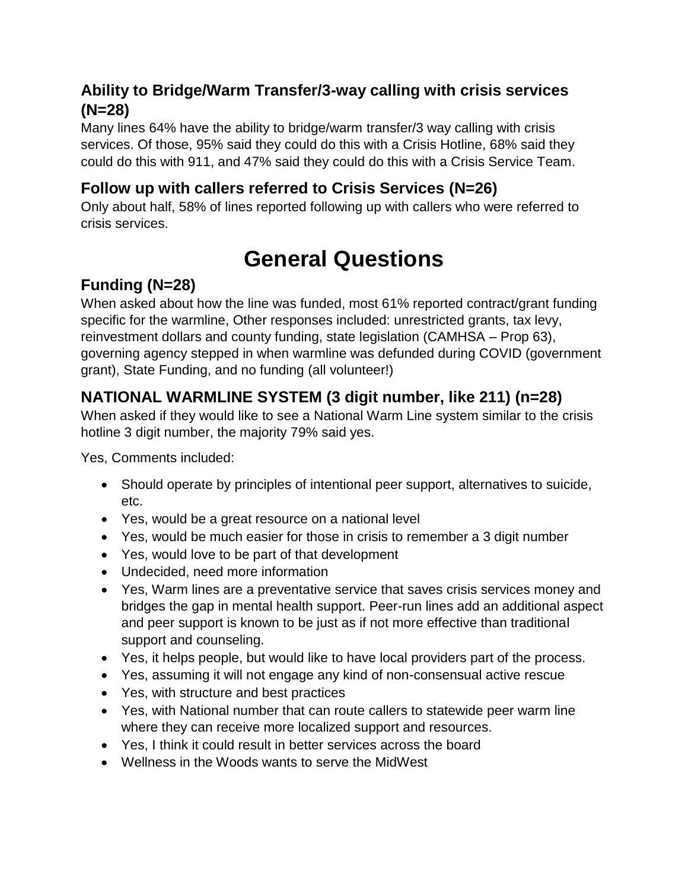# **Ability to Bridge/Warm Transfer/3-way calling with crisis services (N=28)**

Many lines 64% have the ability to bridge/warm transfer/3 way calling with crisis services. Of those, 95% said they could do this with a Crisis Hotline, 68% said they could do this with 911, and 47% said they could do this with a Crisis Service Team.

# **Follow up with callers referred to Crisis Services (N=26)**

Only about half, 58% of lines reported following up with callers who were referred to crisis services.

# **General Questions**

# **Funding (N=28)**

When asked about how the line was funded, most 61% reported contract/grant funding specific for the warmline, Other responses included: unrestricted grants, tax levy, reinvestment dollars and county funding, state legislation (CAMHSA – Prop 63), governing agency stepped in when warmline was defunded during COVID (government grant), State Funding, and no funding (all volunteer!)

# **NATIONAL WARMLINE SYSTEM (3 digit number, like 211) (n=28)**

When asked if they would like to see a National Warm Line system similar to the crisis hotline 3 digit number, the majority 79% said yes.

Yes, Comments included:

- Should operate by principles of intentional peer support, alternatives to suicide, etc.
- Yes, would be a great resource on a national level
- Yes, would be much easier for those in crisis to remember a 3 digit number
- Yes, would love to be part of that development
- Undecided, need more information
- Yes, Warm lines are a preventative service that saves crisis services money and bridges the gap in mental health support. Peer-run lines add an additional aspect and peer support is known to be just as if not more effective than traditional support and counseling.
- Yes, it helps people, but would like to have local providers part of the process.
- Yes, assuming it will not engage any kind of non-consensual active rescue
- Yes, with structure and best practices
- Yes, with National number that can route callers to statewide peer warm line where they can receive more localized support and resources.
- Yes, I think it could result in better services across the board
- Wellness in the Woods wants to serve the MidWest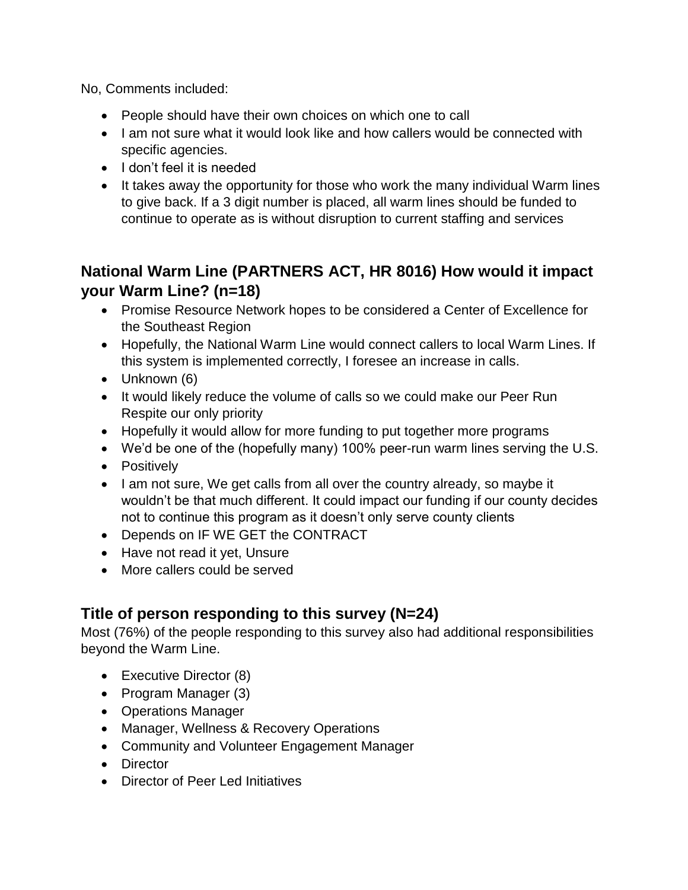No, Comments included:

- People should have their own choices on which one to call
- I am not sure what it would look like and how callers would be connected with specific agencies.
- I don't feel it is needed
- It takes away the opportunity for those who work the many individual Warm lines to give back. If a 3 digit number is placed, all warm lines should be funded to continue to operate as is without disruption to current staffing and services

# **National Warm Line (PARTNERS ACT, HR 8016) How would it impact your Warm Line? (n=18)**

- Promise Resource Network hopes to be considered a Center of Excellence for the Southeast Region
- Hopefully, the National Warm Line would connect callers to local Warm Lines. If this system is implemented correctly, I foresee an increase in calls.
- Unknown (6)
- It would likely reduce the volume of calls so we could make our Peer Run Respite our only priority
- Hopefully it would allow for more funding to put together more programs
- We'd be one of the (hopefully many) 100% peer-run warm lines serving the U.S.
- Positively
- I am not sure, We get calls from all over the country already, so maybe it wouldn't be that much different. It could impact our funding if our county decides not to continue this program as it doesn't only serve county clients
- Depends on IF WE GET the CONTRACT
- Have not read it yet, Unsure
- More callers could be served

# **Title of person responding to this survey (N=24)**

Most (76%) of the people responding to this survey also had additional responsibilities beyond the Warm Line.

- Executive Director (8)
- Program Manager (3)
- Operations Manager
- Manager, Wellness & Recovery Operations
- Community and Volunteer Engagement Manager
- Director
- Director of Peer Led Initiatives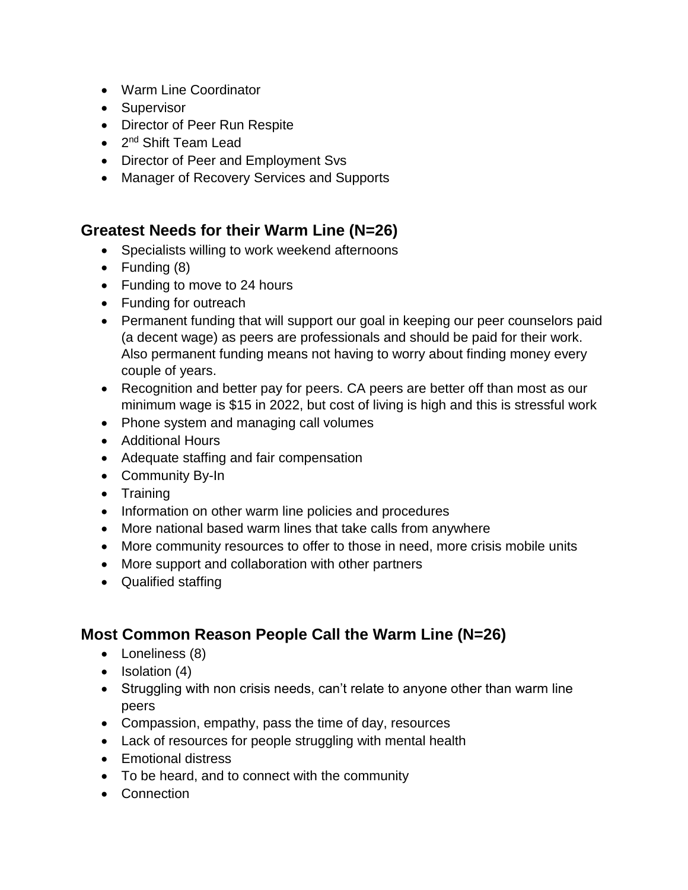- Warm Line Coordinator
- Supervisor
- Director of Peer Run Respite
- 2<sup>nd</sup> Shift Team Lead
- Director of Peer and Employment Svs
- Manager of Recovery Services and Supports

## **Greatest Needs for their Warm Line (N=26)**

- Specialists willing to work weekend afternoons
- Funding (8)
- Funding to move to 24 hours
- Funding for outreach
- Permanent funding that will support our goal in keeping our peer counselors paid (a decent wage) as peers are professionals and should be paid for their work. Also permanent funding means not having to worry about finding money every couple of years.
- Recognition and better pay for peers. CA peers are better off than most as our minimum wage is \$15 in 2022, but cost of living is high and this is stressful work
- Phone system and managing call volumes
- Additional Hours
- Adequate staffing and fair compensation
- Community By-In
- Training
- Information on other warm line policies and procedures
- More national based warm lines that take calls from anywhere
- More community resources to offer to those in need, more crisis mobile units
- More support and collaboration with other partners
- Qualified staffing

# **Most Common Reason People Call the Warm Line (N=26)**

- Loneliness (8)
- Isolation (4)
- Struggling with non crisis needs, can't relate to anyone other than warm line peers
- Compassion, empathy, pass the time of day, resources
- Lack of resources for people struggling with mental health
- Emotional distress
- To be heard, and to connect with the community
- Connection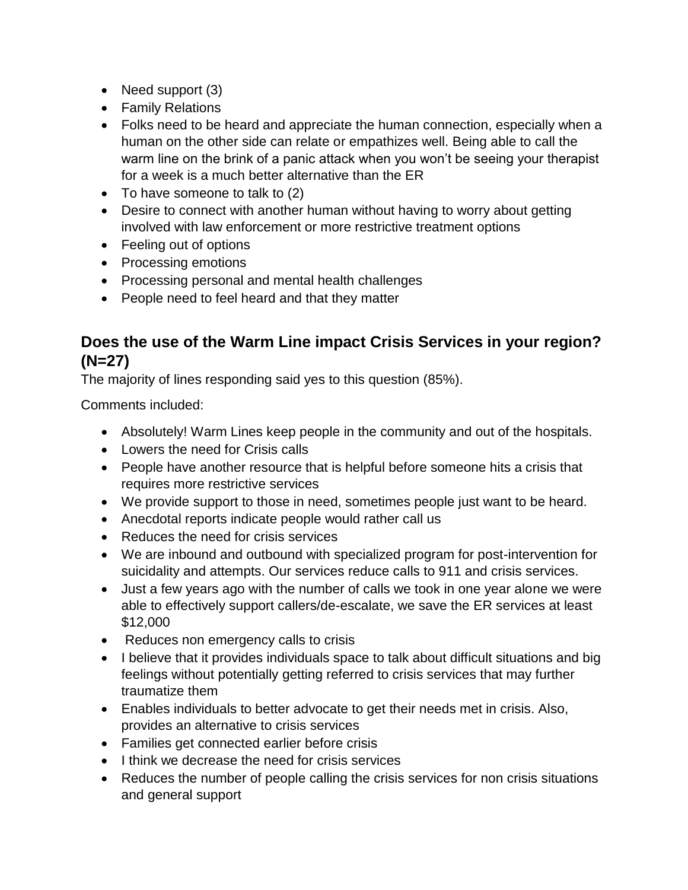- Need support (3)
- Family Relations
- Folks need to be heard and appreciate the human connection, especially when a human on the other side can relate or empathizes well. Being able to call the warm line on the brink of a panic attack when you won't be seeing your therapist for a week is a much better alternative than the ER
- To have someone to talk to (2)
- Desire to connect with another human without having to worry about getting involved with law enforcement or more restrictive treatment options
- Feeling out of options
- Processing emotions
- Processing personal and mental health challenges
- People need to feel heard and that they matter

## **Does the use of the Warm Line impact Crisis Services in your region? (N=27)**

The majority of lines responding said yes to this question (85%).

Comments included:

- Absolutely! Warm Lines keep people in the community and out of the hospitals.
- Lowers the need for Crisis calls
- People have another resource that is helpful before someone hits a crisis that requires more restrictive services
- We provide support to those in need, sometimes people just want to be heard.
- Anecdotal reports indicate people would rather call us
- Reduces the need for crisis services
- We are inbound and outbound with specialized program for post-intervention for suicidality and attempts. Our services reduce calls to 911 and crisis services.
- Just a few years ago with the number of calls we took in one year alone we were able to effectively support callers/de-escalate, we save the ER services at least \$12,000
- Reduces non emergency calls to crisis
- I believe that it provides individuals space to talk about difficult situations and big feelings without potentially getting referred to crisis services that may further traumatize them
- Enables individuals to better advocate to get their needs met in crisis. Also, provides an alternative to crisis services
- Families get connected earlier before crisis
- I think we decrease the need for crisis services
- Reduces the number of people calling the crisis services for non crisis situations and general support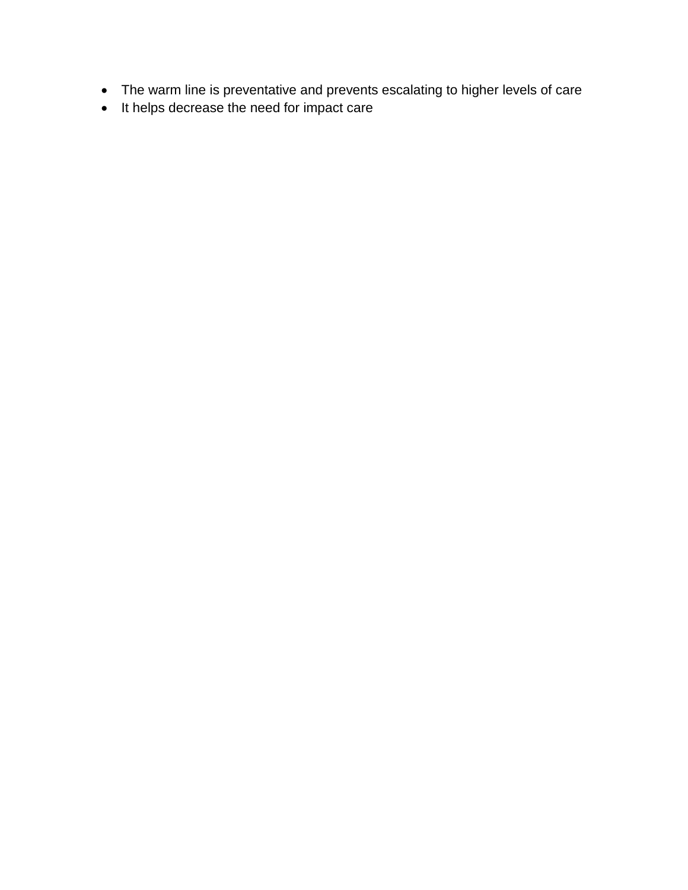- The warm line is preventative and prevents escalating to higher levels of care
- It helps decrease the need for impact care